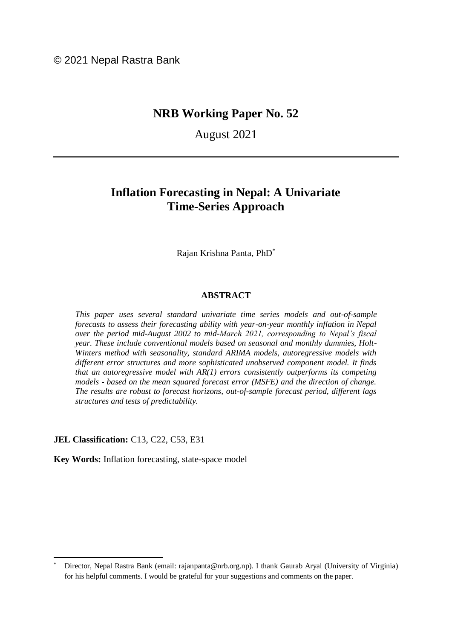© 2021 Nepal Rastra Bank

# **NRB Working Paper No. 52**

August 2021

# **Inflation Forecasting in Nepal: A Univariate Time-Series Approach**

Rajan Krishna Panta, PhD\*

### **ABSTRACT**

*This paper uses several standard univariate time series models and out-of-sample forecasts to assess their forecasting ability with year-on-year monthly inflation in Nepal over the period mid-August 2002 to mid-March 2021, corresponding to Nepal's fiscal year. These include conventional models based on seasonal and monthly dummies, Holt-Winters method with seasonality, standard ARIMA models, autoregressive models with different error structures and more sophisticated unobserved component model. It finds that an autoregressive model with AR(1) errors consistently outperforms its competing models - based on the mean squared forecast error (MSFE) and the direction of change. The results are robust to forecast horizons, out-of-sample forecast period, different lags structures and tests of predictability.*

**JEL Classification:** C13, C22, C53, E31

 $\overline{a}$ 

**Key Words:** Inflation forecasting, state-space model

Director, Nepal Rastra Bank (email: [rajanpanta@nrb.org.np\)](mailto:rajanpanta@nrb.org.np). I thank Gaurab Aryal (University of Virginia) for his helpful comments. I would be grateful for your suggestions and comments on the paper.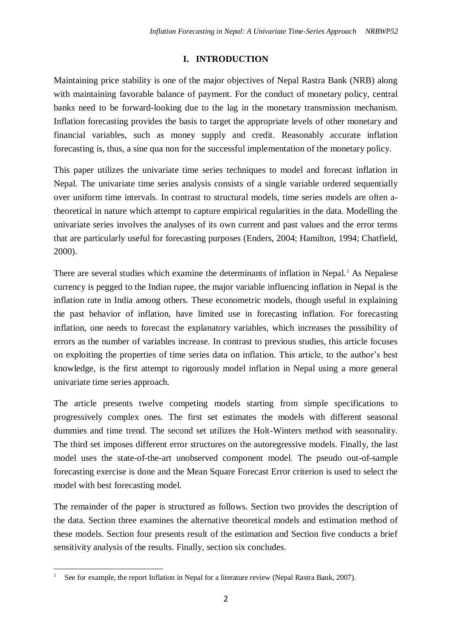## **I. INTRODUCTION**

Maintaining price stability is one of the major objectives of Nepal Rastra Bank (NRB) along with maintaining favorable balance of payment. For the conduct of monetary policy, central banks need to be forward-looking due to the lag in the monetary transmission mechanism. Inflation forecasting provides the basis to target the appropriate levels of other monetary and financial variables, such as money supply and credit. Reasonably accurate inflation forecasting is, thus, a sine qua non for the successful implementation of the monetary policy.

This paper utilizes the univariate time series techniques to model and forecast inflation in Nepal. The univariate time series analysis consists of a single variable ordered sequentially over uniform time intervals. In contrast to structural models, time series models are often atheoretical in nature which attempt to capture empirical regularities in the data. Modelling the univariate series involves the analyses of its own current and past values and the error terms that are particularly useful for forecasting purposes (Enders, 2004; Hamilton, 1994; Chatfield, 2000).

There are several studies which examine the determinants of inflation in Nepal.<sup>1</sup> As Nepalese currency is pegged to the Indian rupee, the major variable influencing inflation in Nepal is the inflation rate in India among others. These econometric models, though useful in explaining the past behavior of inflation, have limited use in forecasting inflation. For forecasting inflation, one needs to forecast the explanatory variables, which increases the possibility of errors as the number of variables increase. In contrast to previous studies, this article focuses on exploiting the properties of time series data on inflation. This article, to the author's best knowledge, is the first attempt to rigorously model inflation in Nepal using a more general univariate time series approach.

The article presents twelve competing models starting from simple specifications to progressively complex ones. The first set estimates the models with different seasonal dummies and time trend. The second set utilizes the Holt-Winters method with seasonality. The third set imposes different error structures on the autoregressive models. Finally, the last model uses the state-of-the-art unobserved component model. The pseudo out-of-sample forecasting exercise is done and the Mean Square Forecast Error criterion is used to select the model with best forecasting model.

The remainder of the paper is structured as follows. Section two provides the description of the data. Section three examines the alternative theoretical models and estimation method of these models. Section four presents result of the estimation and Section five conducts a brief sensitivity analysis of the results. Finally, section six concludes.

 $\overline{a}$ See for example, the report Inflation in Nepal for a literature review (Nepal Rastra Bank, 2007).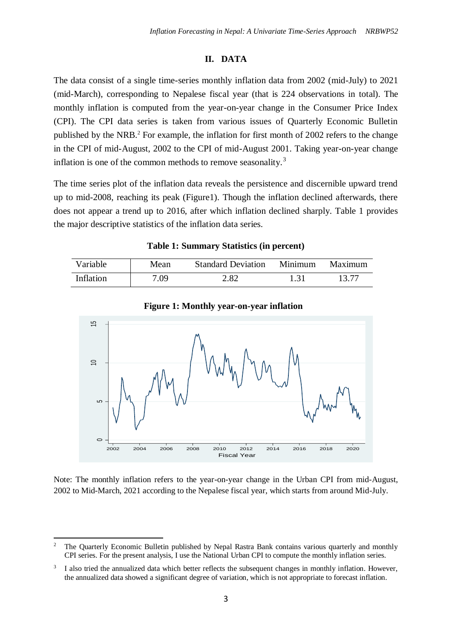## **II. DATA**

The data consist of a single time-series monthly inflation data from 2002 (mid-July) to 2021 (mid-March), corresponding to Nepalese fiscal year (that is 224 observations in total). The monthly inflation is computed from the year-on-year change in the Consumer Price Index (CPI). The CPI data series is taken from various issues of Quarterly Economic Bulletin published by the NRB.<sup>2</sup> For example, the inflation for first month of 2002 refers to the change in the CPI of mid-August, 2002 to the CPI of mid-August 2001. Taking year-on-year change inflation is one of the common methods to remove seasonality.<sup>3</sup>

The time series plot of the inflation data reveals the persistence and discernible upward trend up to mid-2008, reaching its peak (Figure1). Though the inflation declined afterwards, there does not appear a trend up to 2016, after which inflation declined sharply. Table 1 provides the major descriptive statistics of the inflation data series.

**Table 1: Summary Statistics (in percent)**

| <b>Variable</b> | Mean | <b>Standard Deviation</b> | Minimum | Maximum |
|-----------------|------|---------------------------|---------|---------|
| Inflation       | 7.09 | 2.82                      | 1.31    | 13 77   |



**Figure 1: Monthly year-on-year inflation**

Note: The monthly inflation refers to the year-on-year change in the Urban CPI from mid-August, 2002 to Mid-March, 2021 according to the Nepalese fiscal year, which starts from around Mid-July.

 $\ddot{\phantom{a}}$ 

<sup>&</sup>lt;sup>2</sup> The Quarterly Economic Bulletin published by Nepal Rastra Bank contains various quarterly and monthly CPI series. For the present analysis, I use the National Urban CPI to compute the monthly inflation series.

<sup>3</sup> I also tried the annualized data which better reflects the subsequent changes in monthly inflation. However, the annualized data showed a significant degree of variation, which is not appropriate to forecast inflation.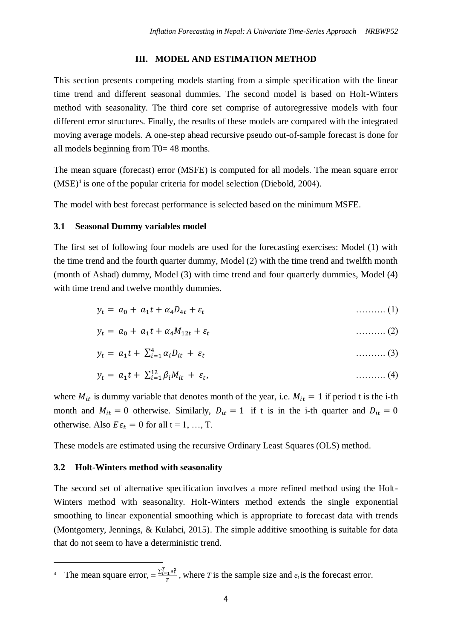## **III. MODEL AND ESTIMATION METHOD**

This section presents competing models starting from a simple specification with the linear time trend and different seasonal dummies. The second model is based on Holt-Winters method with seasonality. The third core set comprise of autoregressive models with four different error structures. Finally, the results of these models are compared with the integrated moving average models. A one-step ahead recursive pseudo out-of-sample forecast is done for all models beginning from T0= 48 months.

The mean square (forecast) error (MSFE) is computed for all models. The mean square error  $(MSE)^4$  is one of the popular criteria for model selection (Diebold, 2004).

The model with best forecast performance is selected based on the minimum MSFE.

## **3.1 Seasonal Dummy variables model**

The first set of following four models are used for the forecasting exercises: Model (1) with the time trend and the fourth quarter dummy, Model (2) with the time trend and twelfth month (month of Ashad) dummy, Model (3) with time trend and four quarterly dummies, Model (4) with time trend and twelve monthly dummies.

$$
y_t = a_0 + a_1 t + a_4 D_{4t} + \varepsilon_t \tag{1}
$$

$$
y_t = a_0 + a_1 t + a_4 M_{12t} + \varepsilon_t \tag{2}
$$

$$
y_t = a_1 t + \sum_{i=1}^4 \alpha_i D_{it} + \varepsilon_t \tag{3}
$$

$$
y_t = a_1 t + \sum_{i=1}^{12} \beta_i M_{it} + \varepsilon_t, \qquad (4)
$$

where  $M_{it}$  is dummy variable that denotes month of the year, i.e.  $M_{it} = 1$  if period t is the i-th month and  $M_{it} = 0$  otherwise. Similarly,  $D_{it} = 1$  if t is in the i-th quarter and  $D_{it} = 0$ otherwise. Also  $E \varepsilon_t = 0$  for all  $t = 1, ..., T$ .

These models are estimated using the recursive Ordinary Least Squares (OLS) method.

## **3.2 Holt-Winters method with seasonality**

 $\overline{a}$ 

The second set of alternative specification involves a more refined method using the Holt-Winters method with seasonality. Holt-Winters method extends the single exponential smoothing to linear exponential smoothing which is appropriate to forecast data with trends (Montgomery, Jennings, & Kulahci, 2015). The simple additive smoothing is suitable for data that do not seem to have a deterministic trend.

<sup>&</sup>lt;sup>4</sup> The mean square error,  $=\frac{\sum_{i=1}^{T}e_t^2}{\sum_{i=1}^{T}e_t^2}$  $\frac{e^{i\theta}\tilde{t}}{T}$ , where *T* is the sample size and  $e_t$  is the forecast error.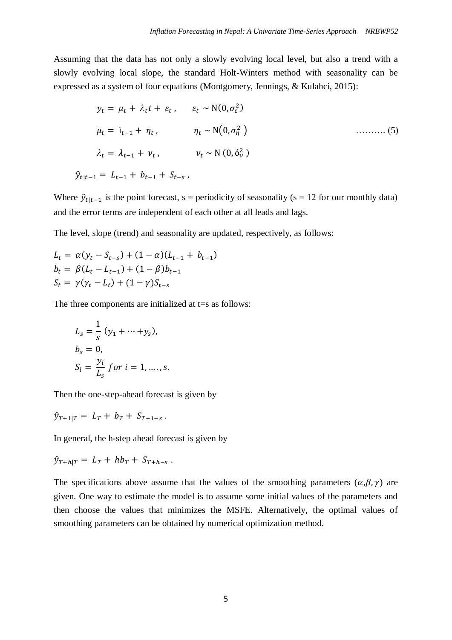Assuming that the data has not only a slowly evolving local level, but also a trend with a slowly evolving local slope, the standard Holt-Winters method with seasonality can be expressed as a system of four equations (Montgomery, Jennings, & Kulahci, 2015):

$$
y_t = \mu_t + \lambda_t t + \varepsilon_t, \quad \varepsilon_t \sim \mathcal{N}(0, \sigma_{\varepsilon}^2)
$$
  
\n
$$
\mu_t = \mathbf{i}_{t-1} + \eta_t, \quad \eta_t \sim \mathcal{N}(0, \sigma_{\eta}^2)
$$
  
\n
$$
\lambda_t = \lambda_{t-1} + \nu_t, \quad \nu_t \sim \mathcal{N}(0, \delta_{\nu}^2)
$$
  
\n
$$
\hat{y}_{t|t-1} = L_{t-1} + b_{t-1} + S_{t-s},
$$
  
\n(5)

Where  $\hat{y}_{t|t-1}$  is the point forecast, s = periodicity of seasonality (s = 12 for our monthly data) and the error terms are independent of each other at all leads and lags.

The level, slope (trend) and seasonality are updated, respectively, as follows:

$$
L_{t} = \alpha(y_{t} - S_{t-s}) + (1 - \alpha)(L_{t-1} + b_{t-1})
$$
  
\n
$$
b_{t} = \beta(L_{t} - L_{t-1}) + (1 - \beta)b_{t-1}
$$
  
\n
$$
S_{t} = \gamma(y_{t} - L_{t}) + (1 - \gamma)S_{t-s}
$$

The three components are initialized at  $t=s$  as follows:

$$
L_s = \frac{1}{s} (y_1 + \dots + y_s),
$$
  
\n
$$
b_s = 0,
$$
  
\n
$$
S_i = \frac{y_i}{L_s} \text{ for } i = 1, \dots, s.
$$

Then the one-step-ahead forecast is given by

 $\hat{y}_{T+1|T} = L_T + b_T + S_{T+1-S}$ .

In general, the h-step ahead forecast is given by

$$
\hat{y}_{T+h|T} = L_T + hb_T + S_{T+h-s}.
$$

The specifications above assume that the values of the smoothing parameters  $(\alpha, \beta, \gamma)$  are given. One way to estimate the model is to assume some initial values of the parameters and then choose the values that minimizes the MSFE. Alternatively, the optimal values of smoothing parameters can be obtained by numerical optimization method.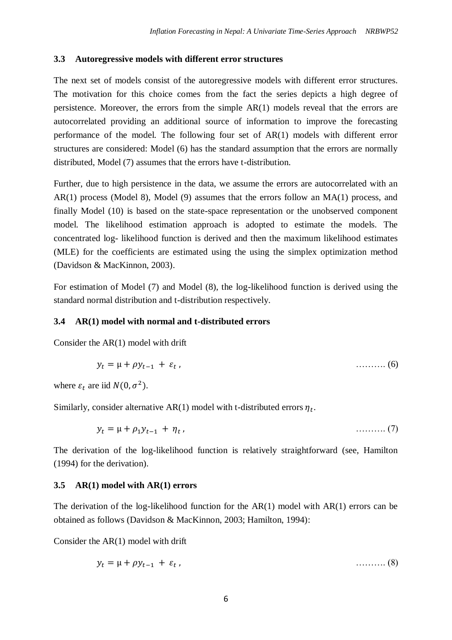#### **3.3 Autoregressive models with different error structures**

The next set of models consist of the autoregressive models with different error structures. The motivation for this choice comes from the fact the series depicts a high degree of persistence. Moreover, the errors from the simple AR(1) models reveal that the errors are autocorrelated providing an additional source of information to improve the forecasting performance of the model. The following four set of AR(1) models with different error structures are considered: Model (6) has the standard assumption that the errors are normally distributed, Model (7) assumes that the errors have t-distribution.

Further, due to high persistence in the data, we assume the errors are autocorrelated with an AR(1) process (Model 8), Model (9) assumes that the errors follow an MA(1) process, and finally Model (10) is based on the state-space representation or the unobserved component model. The likelihood estimation approach is adopted to estimate the models. The concentrated log- likelihood function is derived and then the maximum likelihood estimates (MLE) for the coefficients are estimated using the using the simplex optimization method (Davidson & MacKinnon, 2003).

For estimation of Model (7) and Model (8), the log-likelihood function is derived using the standard normal distribution and t-distribution respectively.

#### **3.4 AR(1) model with normal and t-distributed errors**

Consider the AR(1) model with drift

$$
y_t = \mu + \rho y_{t-1} + \varepsilon_t, \qquad (6)
$$

where  $\varepsilon_t$  are iid  $N(0, \sigma^2)$ .

Similarly, consider alternative AR(1) model with t-distributed errors  $\eta_t$ .

$$
y_t = \mu + \rho_1 y_{t-1} + \eta_t, \qquad \qquad \dots \dots \dots \dots (7)
$$

The derivation of the log-likelihood function is relatively straightforward (see, Hamilton (1994) for the derivation).

#### **3.5 AR(1) model with AR(1) errors**

The derivation of the log-likelihood function for the  $AR(1)$  model with  $AR(1)$  errors can be obtained as follows (Davidson & MacKinnon, 2003; Hamilton, 1994):

Consider the AR(1) model with drift

$$
y_t = \mu + \rho y_{t-1} + \varepsilon_t, \qquad \qquad \ldots \ldots \ldots \tag{8}
$$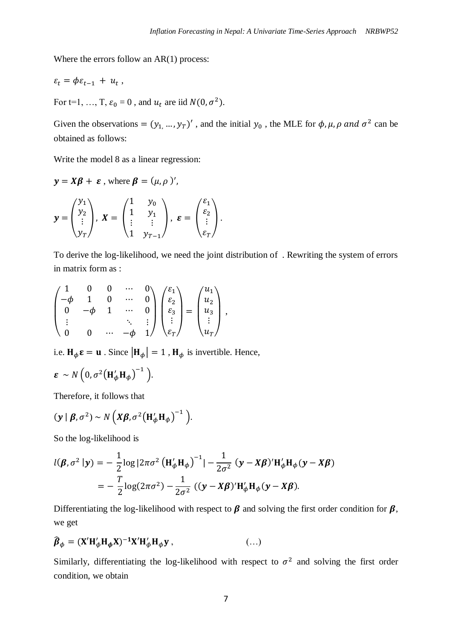Where the errors follow an AR(1) process:

$$
\varepsilon_t = \phi \varepsilon_{t-1} + u_t ,
$$

For t=1, ..., T,  $\varepsilon_0 = 0$ , and  $u_t$  are iid  $N(0, \sigma^2)$ .

Given the observations =  $(y_1, ..., y_T)'$ , and the initial  $y_0$ , the MLE for  $\phi$ ,  $\mu$ ,  $\rho$  and  $\sigma^2$  can be obtained as follows:

Write the model 8 as a linear regression:

 $y = X\beta + \varepsilon$ , where  $\beta = (\mu, \rho)'$ ,

$$
\mathbf{y} = \begin{pmatrix} y_1 \\ y_2 \\ \vdots \\ y_T \end{pmatrix}, \ \mathbf{X} = \begin{pmatrix} 1 & y_0 \\ 1 & y_1 \\ \vdots & \vdots \\ 1 & y_{T-1} \end{pmatrix}, \ \mathbf{\varepsilon} = \begin{pmatrix} \varepsilon_1 \\ \varepsilon_2 \\ \vdots \\ \varepsilon_T \end{pmatrix}.
$$

To derive the log-likelihood, we need the joint distribution of . Rewriting the system of errors in matrix form as :

$$
\begin{pmatrix} 1 & 0 & 0 & \cdots & 0 \\ -\phi & 1 & 0 & \cdots & 0 \\ 0 & -\phi & 1 & \cdots & 0 \\ \vdots & & & \ddots & \vdots \\ 0 & 0 & \cdots & -\phi & 1 \end{pmatrix} \begin{pmatrix} \varepsilon_1 \\ \varepsilon_2 \\ \varepsilon_3 \\ \vdots \\ \varepsilon_T \end{pmatrix} = \begin{pmatrix} u_1 \\ u_2 \\ u_3 \\ \vdots \\ u_T \end{pmatrix},
$$

i.e.  $H_{\phi} \varepsilon = u$ . Since  $|H_{\phi}| = 1$ ,  $H_{\phi}$  is invertible. Hence,

$$
\boldsymbol{\varepsilon} \sim N\left(0, \sigma^2 \big(\mathbf{H}_{\phi}' \mathbf{H}_{\phi}\big)^{-1}\right).
$$

Therefore, it follows that

$$
(\mathbf{y} \mid \boldsymbol{\beta}, \sigma^2) \sim N\left(X\boldsymbol{\beta}, \sigma^2 \left(\mathbf{H}_{\phi}' \mathbf{H}_{\phi}\right)^{-1}\right).
$$

So the log-likelihood is

$$
l(\boldsymbol{\beta}, \sigma^2 | \mathbf{y}) = -\frac{1}{2} \log |2\pi \sigma^2 \left(\mathbf{H}'_{\phi} \mathbf{H}_{\phi}\right)^{-1}| - \frac{1}{2\sigma^2} (\mathbf{y} - \mathbf{X}\boldsymbol{\beta})' \mathbf{H}'_{\phi} \mathbf{H}_{\phi} (\mathbf{y} - \mathbf{X}\boldsymbol{\beta})
$$

$$
= -\frac{T}{2} \log(2\pi \sigma^2) - \frac{1}{2\sigma^2} ((\mathbf{y} - \mathbf{X}\boldsymbol{\beta})' \mathbf{H}'_{\phi} \mathbf{H}_{\phi} (\mathbf{y} - \mathbf{X}\boldsymbol{\beta}).
$$

Differentiating the log-likelihood with respect to  $\beta$  and solving the first order condition for  $\beta$ , we get

$$
\widehat{\boldsymbol{\beta}}_{\phi} = (\mathbf{X}' \mathbf{H}'_{\phi} \mathbf{H}_{\phi} \mathbf{X})^{-1} \mathbf{X}' \mathbf{H}'_{\phi} \mathbf{H}_{\phi} \mathbf{y} , \qquad (\ldots)
$$

Similarly, differentiating the log-likelihood with respect to  $\sigma^2$  and solving the first order condition, we obtain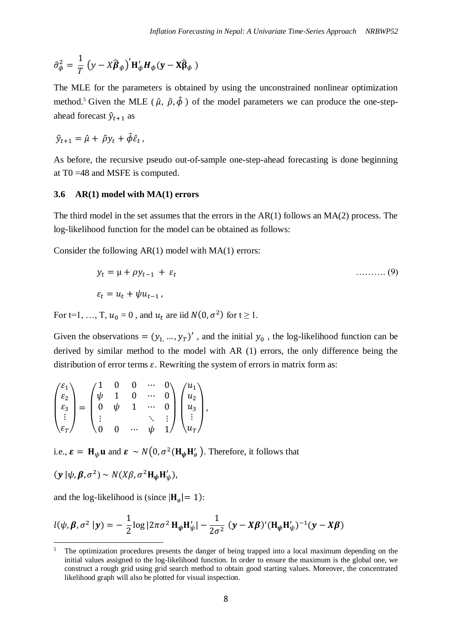$$
\hat{\sigma}_{\phi}^{2} = \frac{1}{T} (y - X\widehat{\boldsymbol{\beta}}_{\phi})' \mathbf{H}_{\phi}' \mathbf{H}_{\phi} (\mathbf{y} - \mathbf{X} \widehat{\boldsymbol{\beta}}_{\phi})
$$

The MLE for the parameters is obtained by using the unconstrained nonlinear optimization method.<sup>5</sup> Given the MLE ( $\hat{\mu}$ ,  $\hat{\rho}$ ,  $\hat{\phi}$ ) of the model parameters we can produce the one-stepahead forecast  $\hat{y}_{t+1}$  as

$$
\hat{y}_{t+1} = \hat{\mu} + \hat{\rho} y_t + \hat{\phi} \hat{\varepsilon}_t,
$$

As before, the recursive pseudo out-of-sample one-step-ahead forecasting is done beginning at T0 =48 and MSFE is computed.

#### **3.6 AR(1) model with MA(1) errors**

The third model in the set assumes that the errors in the AR(1) follows an MA(2) process. The log-likelihood function for the model can be obtained as follows:

Consider the following AR(1) model with MA(1) errors:

$$
y_t = \mu + \rho y_{t-1} + \varepsilon_t
$$
  
\n
$$
\varepsilon_t = u_t + \psi u_{t-1},
$$
  
\n(9)

For t=1, ..., T,  $u_0 = 0$ , and  $u_t$  are iid  $N(0, \sigma^2)$  for  $t \ge 1$ .

Given the observations =  $(y_1, ..., y_T)'$ , and the initial  $y_0$ , the log-likelihood function can be derived by similar method to the model with AR (1) errors, the only difference being the distribution of error terms  $\varepsilon$ . Rewriting the system of errors in matrix form as:

$$
\begin{pmatrix} \varepsilon_1 \\ \varepsilon_2 \\ \varepsilon_3 \\ \vdots \\ \varepsilon_T \end{pmatrix} = \begin{pmatrix} 1 & 0 & 0 & \cdots & 0 \\ \psi & 1 & 0 & \cdots & 0 \\ 0 & \psi & 1 & \cdots & 0 \\ \vdots & & & \ddots & \vdots \\ 0 & 0 & \cdots & \psi & 1 \end{pmatrix} \begin{pmatrix} u_1 \\ u_2 \\ u_3 \\ \vdots \\ u_T \end{pmatrix},
$$

i.e.,  $\boldsymbol{\varepsilon} = \mathbf{H}_{\psi} \mathbf{u}$  and  $\boldsymbol{\varepsilon} \sim N\big(0, \sigma^2(\mathbf{H}_{\psi}\mathbf{H}_{\phi}')$ . Therefore, it follows that

$$
(\mathbf{y} | \psi, \boldsymbol{\beta}, \sigma^2) \sim N(X\beta, \sigma^2 \mathbf{H}_{\psi} \mathbf{H}'_{\psi}),
$$

1

and the log-likelihood is (since  $|\mathbf{H}_{\emptyset}| = 1$ ):

$$
l(\psi, \beta, \sigma^2 | \mathbf{y}) = -\frac{1}{2} \log |2\pi \sigma^2 \mathbf{H}_{\psi} \mathbf{H}'_{\psi}| - \frac{1}{2\sigma^2} (\mathbf{y} - \mathbf{X}\beta)' (\mathbf{H}_{\psi} \mathbf{H}'_{\psi})^{-1} (\mathbf{y} - \mathbf{X}\beta)
$$

<sup>&</sup>lt;sup>5</sup> The optimization procedures presents the danger of being trapped into a local maximum depending on the initial values assigned to the log-likelihood function. In order to ensure the maximum is the global one, we construct a rough grid using grid search method to obtain good starting values. Moreover, the concentrated likelihood graph will also be plotted for visual inspection.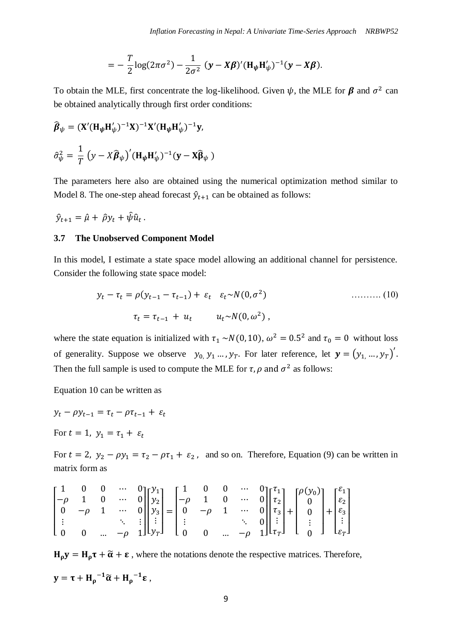$$
= -\frac{T}{2}\log(2\pi\sigma^2) - \frac{1}{2\sigma^2} (y - X\beta)' (H_{\psi}H_{\psi}')^{-1}(y - X\beta).
$$

To obtain the MLE, first concentrate the log-likelihood. Given  $\psi$ , the MLE for  $\beta$  and  $\sigma^2$  can be obtained analytically through first order conditions:

$$
\hat{\boldsymbol{\beta}}_{\psi} = (\mathbf{X}' (\mathbf{H}_{\psi} \mathbf{H}'_{\psi})^{-1} \mathbf{X})^{-1} \mathbf{X}' (\mathbf{H}_{\psi} \mathbf{H}'_{\psi})^{-1} \mathbf{y},
$$
  

$$
\hat{\sigma}_{\psi}^2 = \frac{1}{T} (y - X \hat{\boldsymbol{\beta}}_{\psi})' (\mathbf{H}_{\psi} \mathbf{H}'_{\psi})^{-1} (\mathbf{y} - \mathbf{X} \hat{\boldsymbol{\beta}}_{\psi})
$$

The parameters here also are obtained using the numerical optimization method similar to Model 8. The one-step ahead forecast  $\hat{y}_{t+1}$  can be obtained as follows:

 $\hat{y}_{t+1} = \hat{\mu} + \hat{\rho} y_t + \hat{\psi} \hat{u}_t$ .

## **3.7 The Unobserved Component Model**

In this model, I estimate a state space model allowing an additional channel for persistence. Consider the following state space model:

$$
y_t - \tau_t = \rho(y_{t-1} - \tau_{t-1}) + \varepsilon_t \quad \varepsilon_t \sim N(0, \sigma^2)
$$
  

$$
\tau_t = \tau_{t-1} + u_t \qquad u_t \sim N(0, \omega^2),
$$
 (10)

where the state equation is initialized with  $\tau_1 \sim N(0, 10)$ ,  $\omega^2 = 0.5^2$  and  $\tau_0 = 0$  without loss of generality. Suppose we observe  $y_0, y_1, \ldots, y_T$ . For later reference, let  $\mathbf{y} = (y_1, \ldots, y_T)'$ . Then the full sample is used to compute the MLE for  $\tau$ ,  $\rho$  and  $\sigma^2$  as follows:

Equation 10 can be written as

$$
y_t - \rho y_{t-1} = \tau_t - \rho \tau_{t-1} + \varepsilon_t
$$

For  $t = 1$ ,  $y_1 = \tau_1 + \varepsilon_t$ 

For  $t = 2$ ,  $y_2 - \rho y_1 = \tau_2 - \rho \tau_1 + \varepsilon_2$ , and so on. Therefore, Equation (9) can be written in matrix form as

$$
\begin{bmatrix} 1 & 0 & 0 & \cdots & 0 \\ -\rho & 1 & 0 & \cdots & 0 \\ 0 & -\rho & 1 & \cdots & 0 \\ \vdots & & & \ddots & \vdots \\ 0 & 0 & \cdots & -\rho & 1 \end{bmatrix} \begin{bmatrix} y_1 \\ y_2 \\ y_3 \\ \vdots \\ y_T \end{bmatrix} = \begin{bmatrix} 1 & 0 & 0 & \cdots & 0 \\ -\rho & 1 & 0 & \cdots & 0 \\ 0 & -\rho & 1 & \cdots & 0 \\ \vdots & & & \ddots & 0 \\ 0 & 0 & \cdots & -\rho & 1 \end{bmatrix} \begin{bmatrix} \tau_1 \\ \tau_2 \\ \tau_3 \\ \vdots \\ \tau_T \end{bmatrix} + \begin{bmatrix} \rho(y_0) \\ 0 \\ \rho(z) \\ \vdots \\ \rho(r) \end{bmatrix} + \begin{bmatrix} \varepsilon_1 \\ \varepsilon_2 \\ \varepsilon_3 \\ \vdots \\ \varepsilon_T \end{bmatrix}
$$

 $H_0 y = H_0 \tau + \tilde{\alpha} + \varepsilon$ , where the notations denote the respective matrices. Therefore,

$$
y=\tau+{H_\rho}^{-1}\widetilde{\alpha}+{H_\rho}^{-1}\epsilon\ ,
$$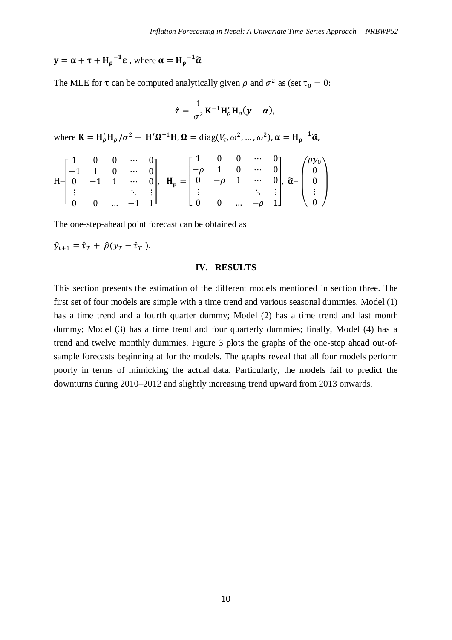# $y = \alpha + \tau + H_{\rho}^{-1} \epsilon$  , where  $\alpha = H_{\rho}^{-1} \widetilde{\alpha}$

The MLE for **τ** can be computed analytically given  $\rho$  and  $\sigma^2$  as (set  $\tau_0 = 0$ :

$$
\hat{\tau} = \frac{1}{\sigma^2} \mathbf{K}^{-1} \mathbf{H}'_{\rho} \mathbf{H}_{\rho} (\mathbf{y} - \boldsymbol{\alpha}),
$$

where  $\mathbf{K} = \mathbf{H}'_{\rho} \mathbf{H}_{\rho} / \sigma^2 + \mathbf{H}' \mathbf{\Omega}^{-1} \mathbf{H}, \mathbf{\Omega} = \text{diag}(V_{\tau}, \omega^2, ..., \omega^2), \alpha = \mathbf{H}_{\rho}^{-1} \widetilde{\alpha},$ 

$$
H = \begin{bmatrix} 1 & 0 & 0 & \cdots & 0 \\ -1 & 1 & 0 & \cdots & 0 \\ 0 & -1 & 1 & \cdots & 0 \\ \vdots & & & \ddots & \vdots \\ 0 & 0 & \cdots & -1 & 1 \end{bmatrix}, \quad H_{\rho} = \begin{bmatrix} 1 & 0 & 0 & \cdots & 0 \\ -\rho & 1 & 0 & \cdots & 0 \\ 0 & -\rho & 1 & \cdots & 0 \\ \vdots & & & \ddots & \vdots \\ 0 & 0 & \cdots & -\rho & 1 \end{bmatrix}, \quad \widetilde{\alpha} = \begin{pmatrix} \rho y_0 \\ 0 \\ 0 \\ \vdots \\ 0 \end{pmatrix}
$$

The one-step-ahead point forecast can be obtained as

$$
\hat{y}_{t+1} = \hat{\tau}_T + \hat{\rho}(y_T - \hat{\tau}_T).
$$

#### **IV. RESULTS**

This section presents the estimation of the different models mentioned in section three. The first set of four models are simple with a time trend and various seasonal dummies. Model (1) has a time trend and a fourth quarter dummy; Model (2) has a time trend and last month dummy; Model (3) has a time trend and four quarterly dummies; finally, Model (4) has a trend and twelve monthly dummies. Figure 3 plots the graphs of the one-step ahead out-ofsample forecasts beginning at for the models. The graphs reveal that all four models perform poorly in terms of mimicking the actual data. Particularly, the models fail to predict the downturns during 2010–2012 and slightly increasing trend upward from 2013 onwards.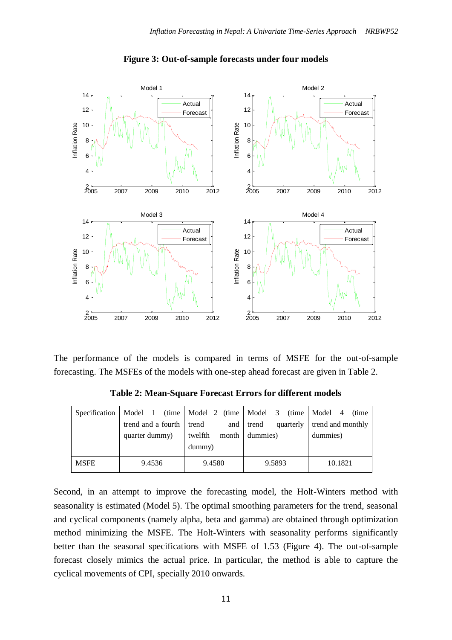

#### **Figure 3: Out-of-sample forecasts under four models**

The performance of the models is compared in terms of MSFE for the out-of-sample forecasting. The MSFEs of the models with one-step ahead forecast are given in Table 2.

| Specification |                          |                  | Model 1 (time   Model 2 (time   Model 3 (time   Model 4 | (time)            |
|---------------|--------------------------|------------------|---------------------------------------------------------|-------------------|
|               | trend and a fourth trend | and              | trend<br>quarterly                                      | trend and monthly |
|               | quarter dummy)           | twelfth<br>month | dummies)                                                | dummies)          |
|               |                          | dummy)           |                                                         |                   |
| <b>MSFE</b>   | 9.4536                   | 9.4580           | 9.5893                                                  | 10.1821           |

**Table 2: Mean-Square Forecast Errors for different models**

Second, in an attempt to improve the forecasting model, the Holt-Winters method with seasonality is estimated (Model 5). The optimal smoothing parameters for the trend, seasonal and cyclical components (namely alpha, beta and gamma) are obtained through optimization method minimizing the MSFE. The Holt-Winters with seasonality performs significantly better than the seasonal specifications with MSFE of 1.53 (Figure 4). The out-of-sample forecast closely mimics the actual price. In particular, the method is able to capture the cyclical movements of CPI, specially 2010 onwards.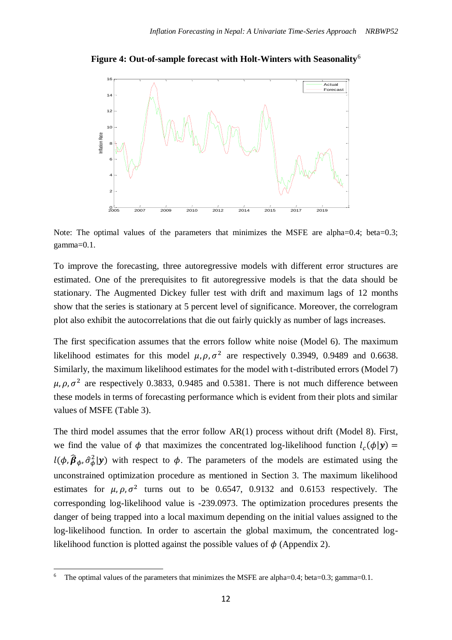



Note: The optimal values of the parameters that minimizes the MSFE are alpha=0.4; beta=0.3; gamma=0.1.

To improve the forecasting, three autoregressive models with different error structures are estimated. One of the prerequisites to fit autoregressive models is that the data should be stationary. The Augmented Dickey fuller test with drift and maximum lags of 12 months show that the series is stationary at 5 percent level of significance. Moreover, the correlogram plot also exhibit the autocorrelations that die out fairly quickly as number of lags increases.

The first specification assumes that the errors follow white noise (Model 6). The maximum likelihood estimates for this model  $\mu$ ,  $\rho$ ,  $\sigma^2$  are respectively 0.3949, 0.9489 and 0.6638. Similarly, the maximum likelihood estimates for the model with t-distributed errors (Model 7)  $\mu$ ,  $\rho$ ,  $\sigma^2$  are respectively 0.3833, 0.9485 and 0.5381. There is not much difference between these models in terms of forecasting performance which is evident from their plots and similar values of MSFE (Table 3).

The third model assumes that the error follow AR(1) process without drift (Model 8). First, we find the value of  $\phi$  that maximizes the concentrated log-likelihood function  $l_c(\phi|\mathbf{y}) =$  $l(\phi, \hat{\beta}_{\phi}, \hat{\sigma}_{\phi}^2 | y)$  with respect to  $\phi$ . The parameters of the models are estimated using the unconstrained optimization procedure as mentioned in Section 3. The maximum likelihood estimates for  $\mu$ ,  $\rho$ ,  $\sigma^2$  turns out to be 0.6547, 0.9132 and 0.6153 respectively. The corresponding log-likelihood value is -239.0973. The optimization procedures presents the danger of being trapped into a local maximum depending on the initial values assigned to the log-likelihood function. In order to ascertain the global maximum, the concentrated loglikelihood function is plotted against the possible values of  $\phi$  (Appendix 2).

 $\overline{a}$ 

<sup>6</sup> The optimal values of the parameters that minimizes the MSFE are alpha=0.4; beta=0.3; gamma=0.1.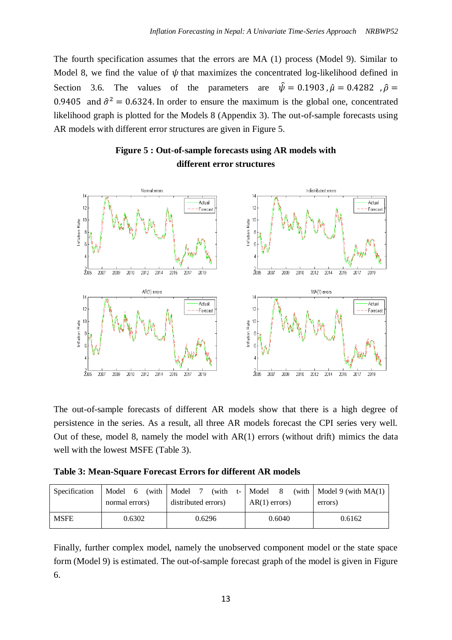The fourth specification assumes that the errors are MA (1) process (Model 9). Similar to Model 8, we find the value of  $\psi$  that maximizes the concentrated log-likelihood defined in Section 3.6. The values of the parameters are  $\hat{\psi} = 0.1903$ ,  $\hat{\mu} = 0.4282$ ,  $\hat{\rho} =$ 0.9405 and  $\hat{\sigma}^2 = 0.6324$ . In order to ensure the maximum is the global one, concentrated likelihood graph is plotted for the Models 8 (Appendix 3). The out-of-sample forecasts using AR models with different error structures are given in Figure 5.





The out-of-sample forecasts of different AR models show that there is a high degree of persistence in the series. As a result, all three AR models forecast the CPI series very well. Out of these, model 8, namely the model with AR(1) errors (without drift) mimics the data well with the lowest MSFE (Table 3).

**Table 3: Mean-Square Forecast Errors for different AR models**

| Specification | Model<br>6     | (with | Model               |  | (with           |        | t-   Model | - 8     |        | (with $\vert$ Model 9 (with MA(1) |
|---------------|----------------|-------|---------------------|--|-----------------|--------|------------|---------|--------|-----------------------------------|
|               | normal errors) |       | distributed errors) |  | $AR(1)$ errors) |        |            | errors) |        |                                   |
| <b>MSFE</b>   | 0.6302         |       | 0.6296              |  |                 | 0.6040 |            |         | 0.6162 |                                   |

Finally, further complex model, namely the unobserved component model or the state space form (Model 9) is estimated. The out-of-sample forecast graph of the model is given in Figure 6.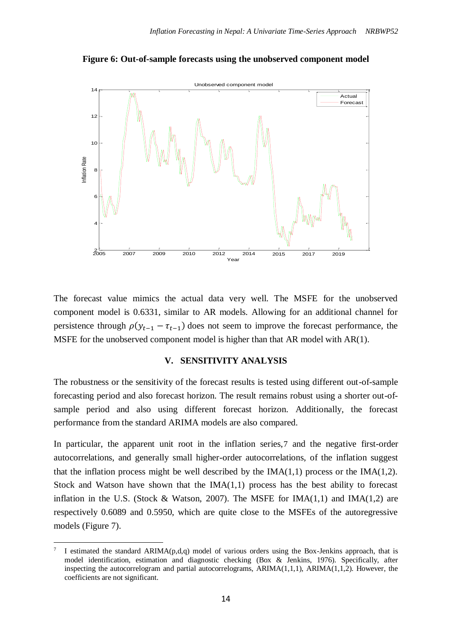

**Figure 6: Out-of-sample forecasts using the unobserved component model**

The forecast value mimics the actual data very well. The MSFE for the unobserved component model is 0.6331, similar to AR models. Allowing for an additional channel for persistence through  $\rho(y_{t-1} - \tau_{t-1})$  does not seem to improve the forecast performance, the MSFE for the unobserved component model is higher than that AR model with AR(1).

#### **V. SENSITIVITY ANALYSIS**

The robustness or the sensitivity of the forecast results is tested using different out-of-sample forecasting period and also forecast horizon. The result remains robust using a shorter out-ofsample period and also using different forecast horizon. Additionally, the forecast performance from the standard ARIMA models are also compared.

In particular, the apparent unit root in the inflation series,7 and the negative first-order autocorrelations, and generally small higher-order autocorrelations, of the inflation suggest that the inflation process might be well described by the  $IMA(1,1)$  process or the  $IMA(1,2)$ . Stock and Watson have shown that the  $IMA(1,1)$  process has the best ability to forecast inflation in the U.S. (Stock & Watson, 2007). The MSFE for  $IMA(1,1)$  and  $IMA(1,2)$  are respectively 0.6089 and 0.5950, which are quite close to the MSFEs of the autoregressive models (Figure 7).

1

<sup>7</sup> I estimated the standard ARIMA(p,d,q) model of various orders using the Box-Jenkins approach, that is model identification, estimation and diagnostic checking (Box & Jenkins, 1976). Specifically, after inspecting the autocorrelogram and partial autocorrelograms,  $ARIMA(1,1,1)$ ,  $ARIMA(1,1,2)$ . However, the coefficients are not significant.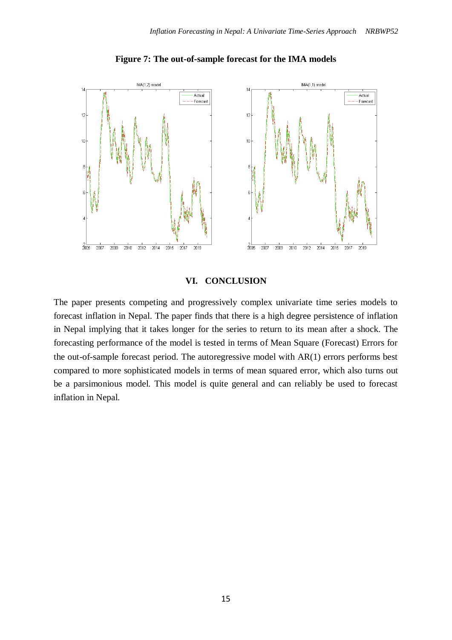

**Figure 7: The out-of-sample forecast for the IMA models**

### **VI. CONCLUSION**

The paper presents competing and progressively complex univariate time series models to forecast inflation in Nepal. The paper finds that there is a high degree persistence of inflation in Nepal implying that it takes longer for the series to return to its mean after a shock. The forecasting performance of the model is tested in terms of Mean Square (Forecast) Errors for the out-of-sample forecast period. The autoregressive model with AR(1) errors performs best compared to more sophisticated models in terms of mean squared error, which also turns out be a parsimonious model. This model is quite general and can reliably be used to forecast inflation in Nepal.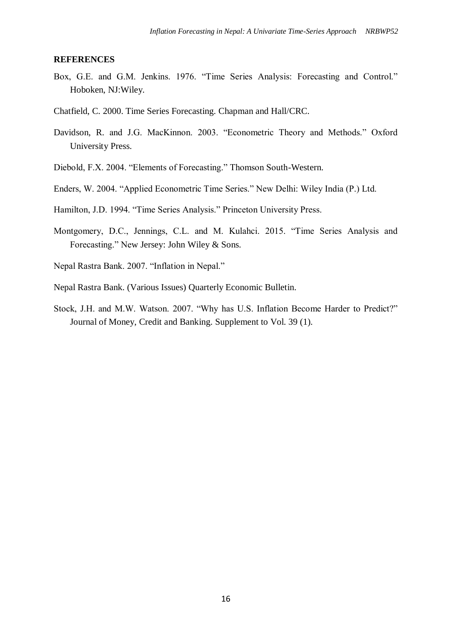#### **REFERENCES**

- Box, G.E. and G.M. Jenkins. 1976. "Time Series Analysis: Forecasting and Control." Hoboken, NJ:Wiley.
- Chatfield, C. 2000. Time Series Forecasting. Chapman and Hall/CRC.
- Davidson, R. and J.G. MacKinnon. 2003. "Econometric Theory and Methods." Oxford University Press.
- Diebold, F.X. 2004. "Elements of Forecasting." Thomson South-Western.
- Enders, W. 2004. "Applied Econometric Time Series." New Delhi: Wiley India (P.) Ltd.
- Hamilton, J.D. 1994. "Time Series Analysis." Princeton University Press.
- Montgomery, D.C., Jennings, C.L. and M. Kulahci. 2015. "Time Series Analysis and Forecasting." New Jersey: John Wiley & Sons.
- Nepal Rastra Bank. 2007. "Inflation in Nepal."
- Nepal Rastra Bank. (Various Issues) Quarterly Economic Bulletin.
- Stock, J.H. and M.W. Watson. 2007. "Why has U.S. Inflation Become Harder to Predict?" Journal of Money, Credit and Banking. Supplement to Vol. 39 (1).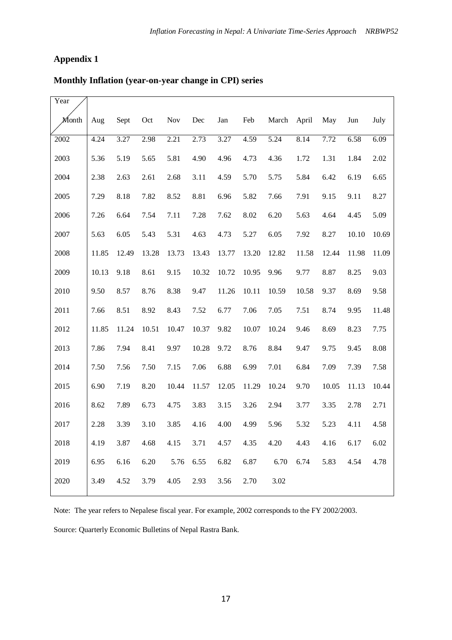## **Appendix 1**

## **Monthly Inflation (year-on-year change in CPI) series**

| Year  |       |       |       |            |       |       |       |       |       |       |       |       |
|-------|-------|-------|-------|------------|-------|-------|-------|-------|-------|-------|-------|-------|
| Month | Aug   | Sept  | Oct   | <b>Nov</b> | Dec   | Jan   | Feb   | March | April | May   | Jun   | July  |
| 2002  | 4.24  | 3.27  | 2.98  | 2.21       | 2.73  | 3.27  | 4.59  | 5.24  | 8.14  | 7.72  | 6.58  | 6.09  |
| 2003  | 5.36  | 5.19  | 5.65  | 5.81       | 4.90  | 4.96  | 4.73  | 4.36  | 1.72  | 1.31  | 1.84  | 2.02  |
| 2004  | 2.38  | 2.63  | 2.61  | 2.68       | 3.11  | 4.59  | 5.70  | 5.75  | 5.84  | 6.42  | 6.19  | 6.65  |
| 2005  | 7.29  | 8.18  | 7.82  | 8.52       | 8.81  | 6.96  | 5.82  | 7.66  | 7.91  | 9.15  | 9.11  | 8.27  |
| 2006  | 7.26  | 6.64  | 7.54  | 7.11       | 7.28  | 7.62  | 8.02  | 6.20  | 5.63  | 4.64  | 4.45  | 5.09  |
| 2007  | 5.63  | 6.05  | 5.43  | 5.31       | 4.63  | 4.73  | 5.27  | 6.05  | 7.92  | 8.27  | 10.10 | 10.69 |
| 2008  | 11.85 | 12.49 | 13.28 | 13.73      | 13.43 | 13.77 | 13.20 | 12.82 | 11.58 | 12.44 | 11.98 | 11.09 |
| 2009  | 10.13 | 9.18  | 8.61  | 9.15       | 10.32 | 10.72 | 10.95 | 9.96  | 9.77  | 8.87  | 8.25  | 9.03  |
| 2010  | 9.50  | 8.57  | 8.76  | 8.38       | 9.47  | 11.26 | 10.11 | 10.59 | 10.58 | 9.37  | 8.69  | 9.58  |
| 2011  | 7.66  | 8.51  | 8.92  | 8.43       | 7.52  | 6.77  | 7.06  | 7.05  | 7.51  | 8.74  | 9.95  | 11.48 |
| 2012  | 11.85 | 11.24 | 10.51 | 10.47      | 10.37 | 9.82  | 10.07 | 10.24 | 9.46  | 8.69  | 8.23  | 7.75  |
| 2013  | 7.86  | 7.94  | 8.41  | 9.97       | 10.28 | 9.72  | 8.76  | 8.84  | 9.47  | 9.75  | 9.45  | 8.08  |
| 2014  | 7.50  | 7.56  | 7.50  | 7.15       | 7.06  | 6.88  | 6.99  | 7.01  | 6.84  | 7.09  | 7.39  | 7.58  |
| 2015  | 6.90  | 7.19  | 8.20  | 10.44      | 11.57 | 12.05 | 11.29 | 10.24 | 9.70  | 10.05 | 11.13 | 10.44 |
| 2016  | 8.62  | 7.89  | 6.73  | 4.75       | 3.83  | 3.15  | 3.26  | 2.94  | 3.77  | 3.35  | 2.78  | 2.71  |
| 2017  | 2.28  | 3.39  | 3.10  | 3.85       | 4.16  | 4.00  | 4.99  | 5.96  | 5.32  | 5.23  | 4.11  | 4.58  |
| 2018  | 4.19  | 3.87  | 4.68  | 4.15       | 3.71  | 4.57  | 4.35  | 4.20  | 4.43  | 4.16  | 6.17  | 6.02  |
| 2019  | 6.95  | 6.16  | 6.20  | 5.76       | 6.55  | 6.82  | 6.87  | 6.70  | 6.74  | 5.83  | 4.54  | 4.78  |
| 2020  | 3.49  | 4.52  | 3.79  | 4.05       | 2.93  | 3.56  | 2.70  | 3.02  |       |       |       |       |

Note: The year refers to Nepalese fiscal year. For example, 2002 corresponds to the FY 2002/2003.

Source: Quarterly Economic Bulletins of Nepal Rastra Bank.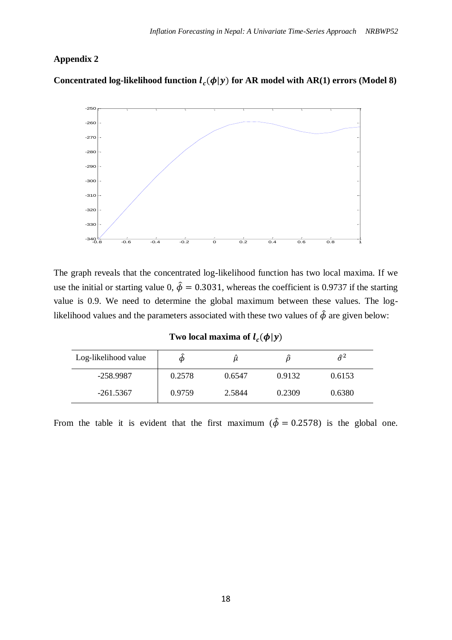## **Appendix 2**

Concentrated log-likelihood function  $l_c(\phi|y)$  for AR model with AR(1) errors (Model 8)



The graph reveals that the concentrated log-likelihood function has two local maxima. If we use the initial or starting value 0,  $\hat{\phi} = 0.3031$ , whereas the coefficient is 0.9737 if the starting value is 0.9. We need to determine the global maximum between these values. The loglikelihood values and the parameters associated with these two values of  $\hat{\phi}$  are given below:

| Two local maxima of $l_c(\phi y)$ |  |  |  |
|-----------------------------------|--|--|--|
|-----------------------------------|--|--|--|

| Log-likelihood value | Ф      |        |        | $\hat{\sigma}^2$ |
|----------------------|--------|--------|--------|------------------|
| $-258.9987$          | 0.2578 | 0.6547 | 0.9132 | 0.6153           |
| $-261.5367$          | 0.9759 | 2.5844 | 0.2309 | 0.6380           |

From the table it is evident that the first maximum ( $\hat{\phi} = 0.2578$ ) is the global one.